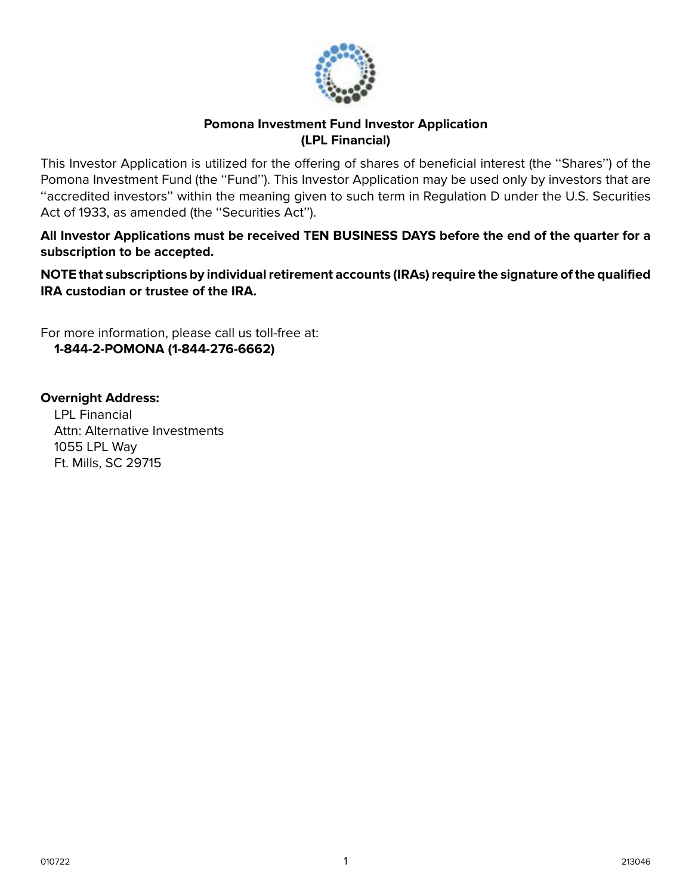

## **Pomona Investment Fund Investor Application (LPL Financial)**

This Investor Application is utilized for the offering of shares of beneficial interest (the ''Shares'') of the Pomona Investment Fund (the ''Fund''). This Investor Application may be used only by investors that are ''accredited investors'' within the meaning given to such term in Regulation D under the U.S. Securities Act of 1933, as amended (the "Securities Act").

**All Investor Applications must be received TEN BUSINESS DAYS before the end of the quarter for a subscription to be accepted.**

**NOTE that subscriptions by individual retirement accounts (IRAs) require the signature of the qualified IRA custodian or trustee of the IRA.**

For more information, please call us toll-free at: **1-844-2-POMONA (1-844-276-6662)**

**Overnight Address:** LPL Financial Attn: Alternative Investments 1055 LPL Way Ft. Mills, SC 29715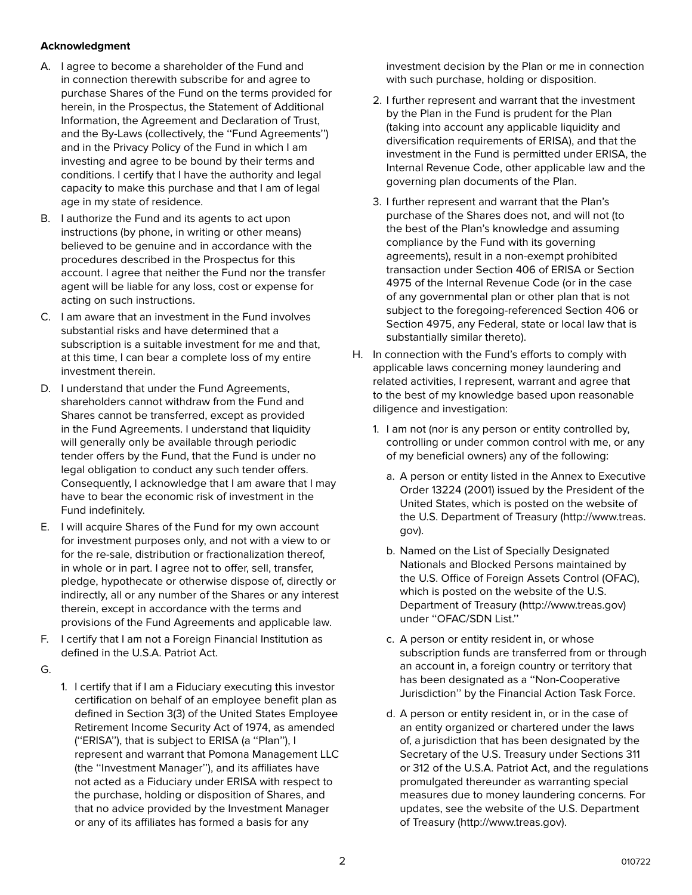#### **Acknowledgment**

- A. I agree to become a shareholder of the Fund and in connection therewith subscribe for and agree to purchase Shares of the Fund on the terms provided for herein, in the Prospectus, the Statement of Additional Information, the Agreement and Declaration of Trust, and the By-Laws (collectively, the ''Fund Agreements'') and in the Privacy Policy of the Fund in which I am investing and agree to be bound by their terms and conditions. I certify that I have the authority and legal capacity to make this purchase and that I am of legal age in my state of residence.
- B. I authorize the Fund and its agents to act upon instructions (by phone, in writing or other means) believed to be genuine and in accordance with the procedures described in the Prospectus for this account. I agree that neither the Fund nor the transfer agent will be liable for any loss, cost or expense for acting on such instructions.
- C. I am aware that an investment in the Fund involves substantial risks and have determined that a subscription is a suitable investment for me and that, at this time, I can bear a complete loss of my entire investment therein.
- D. I understand that under the Fund Agreements, shareholders cannot withdraw from the Fund and Shares cannot be transferred, except as provided in the Fund Agreements. I understand that liquidity will generally only be available through periodic tender offers by the Fund, that the Fund is under no legal obligation to conduct any such tender offers. Consequently, I acknowledge that I am aware that I may have to bear the economic risk of investment in the Fund indefinitely.
- E. I will acquire Shares of the Fund for my own account for investment purposes only, and not with a view to or for the re-sale, distribution or fractionalization thereof, in whole or in part. I agree not to offer, sell, transfer, pledge, hypothecate or otherwise dispose of, directly or indirectly, all or any number of the Shares or any interest therein, except in accordance with the terms and provisions of the Fund Agreements and applicable law.
- F. I certify that I am not a Foreign Financial Institution as defined in the U.S.A. Patriot Act.
- G.
- 1. I certify that if I am a Fiduciary executing this investor certification on behalf of an employee benefit plan as defined in Section 3(3) of the United States Employee Retirement Income Security Act of 1974, as amended (''ERISA''), that is subject to ERISA (a ''Plan''), I represent and warrant that Pomona Management LLC (the ''Investment Manager''), and its affiliates have not acted as a Fiduciary under ERISA with respect to the purchase, holding or disposition of Shares, and that no advice provided by the Investment Manager or any of its affiliates has formed a basis for any

investment decision by the Plan or me in connection with such purchase, holding or disposition.

- 2. I further represent and warrant that the investment by the Plan in the Fund is prudent for the Plan (taking into account any applicable liquidity and diversification requirements of ERISA), and that the investment in the Fund is permitted under ERISA, the Internal Revenue Code, other applicable law and the governing plan documents of the Plan.
- 3. I further represent and warrant that the Plan's purchase of the Shares does not, and will not (to the best of the Plan's knowledge and assuming compliance by the Fund with its governing agreements), result in a non-exempt prohibited transaction under Section 406 of ERISA or Section 4975 of the Internal Revenue Code (or in the case of any governmental plan or other plan that is not subject to the foregoing-referenced Section 406 or Section 4975, any Federal, state or local law that is substantially similar thereto).
- H. In connection with the Fund's efforts to comply with applicable laws concerning money laundering and related activities, I represent, warrant and agree that to the best of my knowledge based upon reasonable diligence and investigation:
	- 1. I am not (nor is any person or entity controlled by, controlling or under common control with me, or any of my beneficial owners) any of the following:
		- a. A person or entity listed in the Annex to Executive Order 13224 (2001) issued by the President of the United States, which is posted on the website of the U.S. Department of Treasury (http://www.treas. gov).
		- b. Named on the List of Specially Designated Nationals and Blocked Persons maintained by the U.S. Office of Foreign Assets Control (OFAC), which is posted on the website of the U.S. Department of Treasury (http://www.treas.gov) under ''OFAC/SDN List.''
		- c. A person or entity resident in, or whose subscription funds are transferred from or through an account in, a foreign country or territory that has been designated as a ''Non-Cooperative Jurisdiction'' by the Financial Action Task Force.
		- d. A person or entity resident in, or in the case of an entity organized or chartered under the laws of, a jurisdiction that has been designated by the Secretary of the U.S. Treasury under Sections 311 or 312 of the U.S.A. Patriot Act, and the regulations promulgated thereunder as warranting special measures due to money laundering concerns. For updates, see the website of the U.S. Department of Treasury (http://www.treas.gov).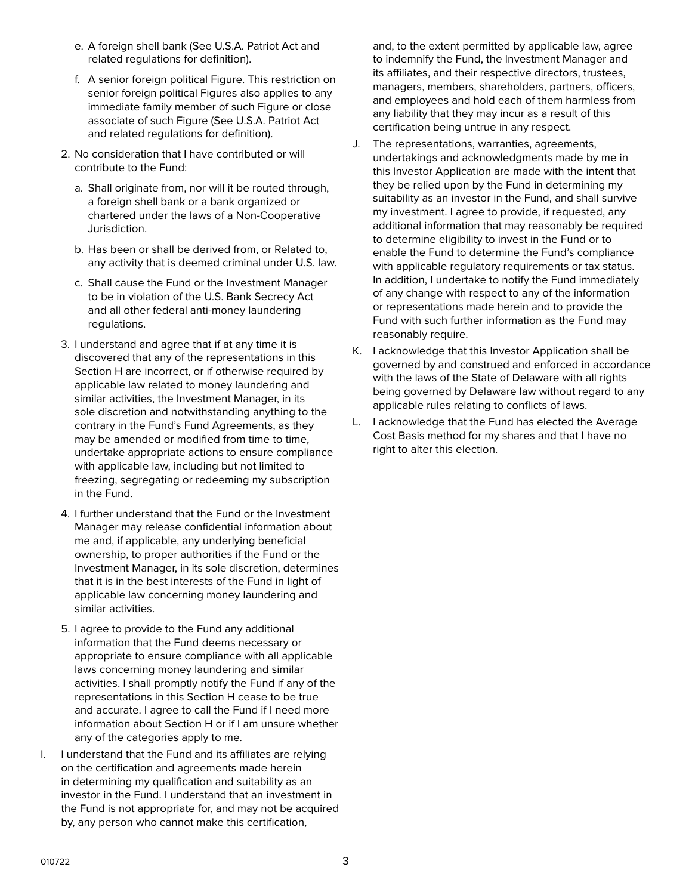- e. A foreign shell bank (See U.S.A. Patriot Act and related regulations for definition).
- f. A senior foreign political Figure. This restriction on senior foreign political Figures also applies to any immediate family member of such Figure or close associate of such Figure (See U.S.A. Patriot Act and related regulations for definition).
- 2. No consideration that I have contributed or will contribute to the Fund:
	- a. Shall originate from, nor will it be routed through, a foreign shell bank or a bank organized or chartered under the laws of a Non-Cooperative Jurisdiction.
	- b. Has been or shall be derived from, or Related to, any activity that is deemed criminal under U.S. law.
	- c. Shall cause the Fund or the Investment Manager to be in violation of the U.S. Bank Secrecy Act and all other federal anti-money laundering regulations.
- 3. I understand and agree that if at any time it is discovered that any of the representations in this Section H are incorrect, or if otherwise required by applicable law related to money laundering and similar activities, the Investment Manager, in its sole discretion and notwithstanding anything to the contrary in the Fund's Fund Agreements, as they may be amended or modified from time to time, undertake appropriate actions to ensure compliance with applicable law, including but not limited to freezing, segregating or redeeming my subscription in the Fund.
- 4. I further understand that the Fund or the Investment Manager may release confidential information about me and, if applicable, any underlying beneficial ownership, to proper authorities if the Fund or the Investment Manager, in its sole discretion, determines that it is in the best interests of the Fund in light of applicable law concerning money laundering and similar activities.
- 5. I agree to provide to the Fund any additional information that the Fund deems necessary or appropriate to ensure compliance with all applicable laws concerning money laundering and similar activities. I shall promptly notify the Fund if any of the representations in this Section H cease to be true and accurate. I agree to call the Fund if I need more information about Section H or if I am unsure whether any of the categories apply to me.
- I. I understand that the Fund and its affiliates are relying on the certification and agreements made herein in determining my qualification and suitability as an investor in the Fund. I understand that an investment in the Fund is not appropriate for, and may not be acquired by, any person who cannot make this certification,

and, to the extent permitted by applicable law, agree to indemnify the Fund, the Investment Manager and its affiliates, and their respective directors, trustees, managers, members, shareholders, partners, officers, and employees and hold each of them harmless from any liability that they may incur as a result of this certification being untrue in any respect.

- J. The representations, warranties, agreements, undertakings and acknowledgments made by me in this Investor Application are made with the intent that they be relied upon by the Fund in determining my suitability as an investor in the Fund, and shall survive my investment. I agree to provide, if requested, any additional information that may reasonably be required to determine eligibility to invest in the Fund or to enable the Fund to determine the Fund's compliance with applicable regulatory requirements or tax status. In addition, I undertake to notify the Fund immediately of any change with respect to any of the information or representations made herein and to provide the Fund with such further information as the Fund may reasonably require.
- K. I acknowledge that this Investor Application shall be governed by and construed and enforced in accordance with the laws of the State of Delaware with all rights being governed by Delaware law without regard to any applicable rules relating to conflicts of laws.
- L. I acknowledge that the Fund has elected the Average Cost Basis method for my shares and that I have no right to alter this election.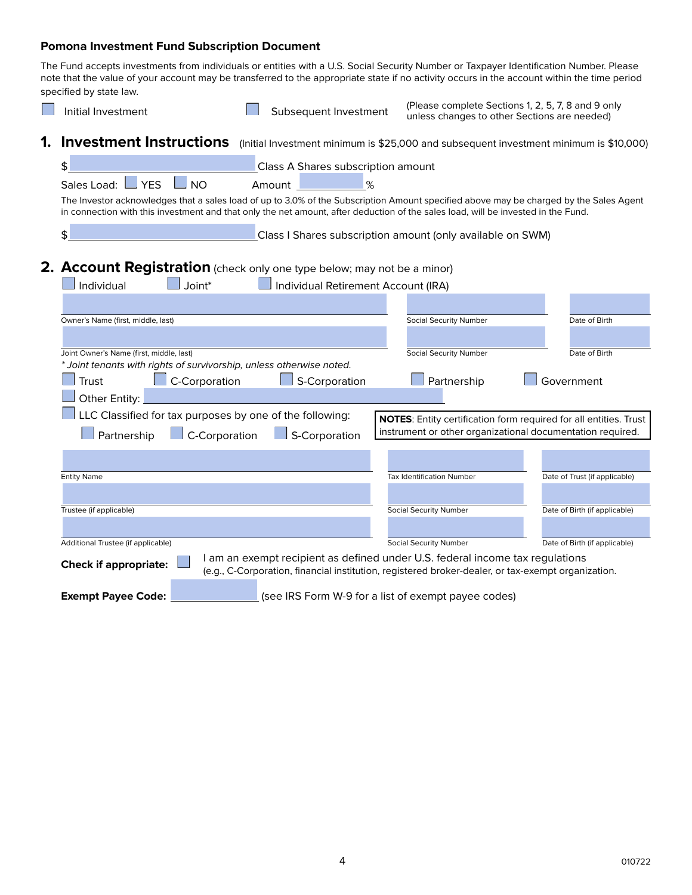#### **Pomona Investment Fund Subscription Document**

The Fund accepts investments from individuals or entities with a U.S. Social Security Number or Taxpayer Identification Number. Please note that the value of your account may be transferred to the appropriate state if no activity occurs in the account within the time period specified by state law.

| Initial Investment                                                                                                                                                                                                                                                          | Subsequent Investment                                                                                                                                                               | (Please complete Sections 1, 2, 5, 7, 8 and 9 only<br>unless changes to other Sections are needed) |                               |
|-----------------------------------------------------------------------------------------------------------------------------------------------------------------------------------------------------------------------------------------------------------------------------|-------------------------------------------------------------------------------------------------------------------------------------------------------------------------------------|----------------------------------------------------------------------------------------------------|-------------------------------|
| Investment Instructions (Initial Investment minimum is \$25,000 and subsequent investment minimum is \$10,000)<br>1.                                                                                                                                                        |                                                                                                                                                                                     |                                                                                                    |                               |
| \$                                                                                                                                                                                                                                                                          | Class A Shares subscription amount                                                                                                                                                  |                                                                                                    |                               |
| $\overline{\phantom{a}}$ YES<br>Sales Load: L<br>$\_$ NO                                                                                                                                                                                                                    | %<br>Amount                                                                                                                                                                         |                                                                                                    |                               |
| The Investor acknowledges that a sales load of up to 3.0% of the Subscription Amount specified above may be charged by the Sales Agent<br>in connection with this investment and that only the net amount, after deduction of the sales load, will be invested in the Fund. |                                                                                                                                                                                     |                                                                                                    |                               |
| \$                                                                                                                                                                                                                                                                          | Class I Shares subscription amount (only available on SWM)                                                                                                                          |                                                                                                    |                               |
|                                                                                                                                                                                                                                                                             |                                                                                                                                                                                     |                                                                                                    |                               |
| 2. Account Registration (check only one type below; may not be a minor)<br>Joint*<br>Individual                                                                                                                                                                             | Individual Retirement Account (IRA)                                                                                                                                                 |                                                                                                    |                               |
|                                                                                                                                                                                                                                                                             |                                                                                                                                                                                     |                                                                                                    |                               |
| Owner's Name (first, middle, last)                                                                                                                                                                                                                                          |                                                                                                                                                                                     | Social Security Number                                                                             | Date of Birth                 |
|                                                                                                                                                                                                                                                                             |                                                                                                                                                                                     |                                                                                                    |                               |
| Joint Owner's Name (first, middle, last)<br>* Joint tenants with rights of survivorship, unless otherwise noted.                                                                                                                                                            |                                                                                                                                                                                     | Social Security Number                                                                             | Date of Birth                 |
| C-Corporation<br>Trust                                                                                                                                                                                                                                                      | S-Corporation                                                                                                                                                                       | Partnership                                                                                        | Government                    |
| Other Entity:                                                                                                                                                                                                                                                               |                                                                                                                                                                                     |                                                                                                    |                               |
| LLC Classified for tax purposes by one of the following:                                                                                                                                                                                                                    |                                                                                                                                                                                     | NOTES: Entity certification form required for all entities. Trust                                  |                               |
| $\Box$ C-Corporation<br>Partnership                                                                                                                                                                                                                                         | $\Box$ S-Corporation                                                                                                                                                                | instrument or other organizational documentation required.                                         |                               |
|                                                                                                                                                                                                                                                                             |                                                                                                                                                                                     |                                                                                                    |                               |
| <b>Entity Name</b>                                                                                                                                                                                                                                                          |                                                                                                                                                                                     | <b>Tax Identification Number</b>                                                                   | Date of Trust (if applicable) |
|                                                                                                                                                                                                                                                                             |                                                                                                                                                                                     |                                                                                                    |                               |
| Trustee (if applicable)                                                                                                                                                                                                                                                     |                                                                                                                                                                                     | <b>Social Security Number</b>                                                                      | Date of Birth (if applicable) |
|                                                                                                                                                                                                                                                                             |                                                                                                                                                                                     |                                                                                                    |                               |
| Additional Trustee (if applicable)                                                                                                                                                                                                                                          |                                                                                                                                                                                     | <b>Social Security Number</b>                                                                      | Date of Birth (if applicable) |
| <b>Check if appropriate:</b>                                                                                                                                                                                                                                                | I am an exempt recipient as defined under U.S. federal income tax regulations<br>(e.g., C-Corporation, financial institution, registered broker-dealer, or tax-exempt organization. |                                                                                                    |                               |
| <b>Exempt Payee Code:</b>                                                                                                                                                                                                                                                   | (see IRS Form W-9 for a list of exempt payee codes)                                                                                                                                 |                                                                                                    |                               |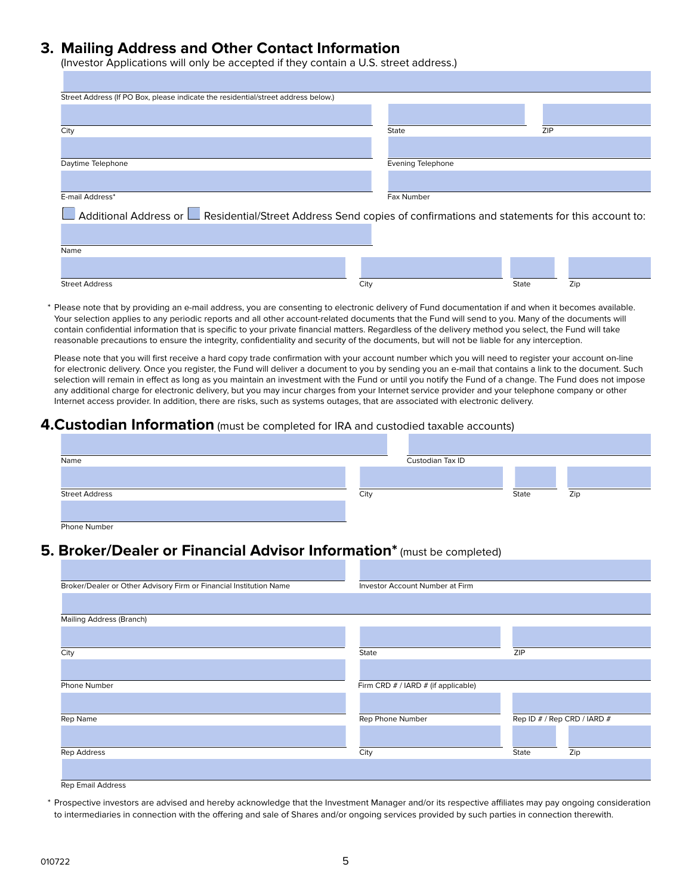## **3. Mailing Address and Other Contact Information**

(Investor Applications will only be accepted if they contain a U.S. street address.)

| Street Address (If PO Box, please indicate the residential/street address below.)                                               |                          |     |  |  |
|---------------------------------------------------------------------------------------------------------------------------------|--------------------------|-----|--|--|
|                                                                                                                                 |                          |     |  |  |
| City                                                                                                                            | State                    | ZIP |  |  |
|                                                                                                                                 |                          |     |  |  |
| Daytime Telephone                                                                                                               | <b>Evening Telephone</b> |     |  |  |
|                                                                                                                                 |                          |     |  |  |
| E-mail Address*                                                                                                                 | Fax Number               |     |  |  |
| $\Box$ Additional Address or $\Box$ Residential/Street Address Send copies of confirmations and statements for this account to: |                          |     |  |  |
|                                                                                                                                 |                          |     |  |  |
| Name                                                                                                                            |                          |     |  |  |
|                                                                                                                                 |                          |     |  |  |

Please note that by providing an e-mail address, you are consenting to electronic delivery of Fund documentation if and when it becomes available. Your selection applies to any periodic reports and all other account-related documents that the Fund will send to you. Many of the documents will contain confidential information that is specific to your private financial matters. Regardless of the delivery method you select, the Fund will take reasonable precautions to ensure the integrity, confidentiality and security of the documents, but will not be liable for any interception.

Street Address City State Zip

Please note that you will first receive a hard copy trade confirmation with your account number which you will need to register your account on-line for electronic delivery. Once you register, the Fund will deliver a document to you by sending you an e-mail that contains a link to the document. Such selection will remain in effect as long as you maintain an investment with the Fund or until you notify the Fund of a change. The Fund does not impose any additional charge for electronic delivery, but you may incur charges from your Internet service provider and your telephone company or other Internet access provider. In addition, there are risks, such as systems outages, that are associated with electronic delivery.

#### **4.Custodian Information** (must be completed for IRA and custodied taxable accounts)

| Name                  |      | Custodian Tax ID |       |     |
|-----------------------|------|------------------|-------|-----|
|                       |      |                  |       |     |
| <b>Street Address</b> | City |                  | State | Zip |
|                       |      |                  |       |     |
| Phone Number          |      |                  |       |     |

# **5. Broker/Dealer or Financial Advisor Information\*** (must be completed)

| Broker/Dealer or Other Advisory Firm or Financial Institution Name | Investor Account Number at Firm     |                             |     |
|--------------------------------------------------------------------|-------------------------------------|-----------------------------|-----|
|                                                                    |                                     |                             |     |
| <b>Mailing Address (Branch)</b>                                    |                                     |                             |     |
|                                                                    |                                     |                             |     |
| City                                                               | State                               | ZIP                         |     |
|                                                                    |                                     |                             |     |
| Phone Number                                                       | Firm CRD # / IARD # (if applicable) |                             |     |
|                                                                    |                                     |                             |     |
| Rep Name                                                           | Rep Phone Number                    | Rep ID # / Rep CRD / IARD # |     |
|                                                                    |                                     |                             |     |
| Rep Address                                                        | City                                | State                       | Zip |
|                                                                    |                                     |                             |     |
| <b>Rep Email Address</b>                                           |                                     |                             |     |

 \* Prospective investors are advised and hereby acknowledge that the Investment Manager and/or its respective affiliates may pay ongoing consideration to intermediaries in connection with the offering and sale of Shares and/or ongoing services provided by such parties in connection therewith.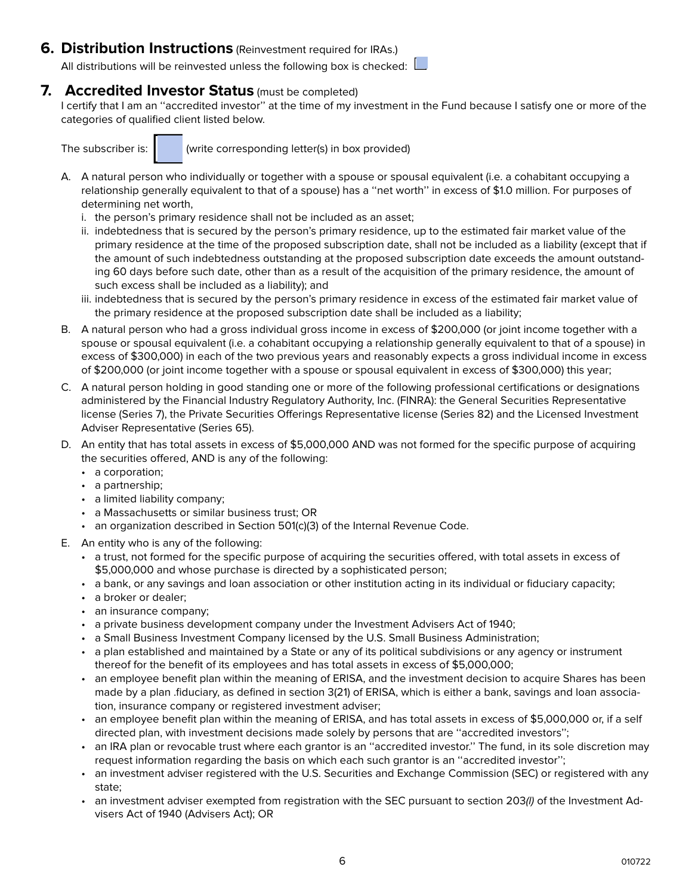### **6. Distribution Instructions** (Reinvestment required for IRAs.)

All distributions will be reinvested unless the following box is checked:  $\Box$ 

### **7. Accredited Investor Status** (must be completed)

I certify that I am an ''accredited investor'' at the time of my investment in the Fund because I satisfy one or more of the categories of qualified client listed below.

The subscriber is:  $\parallel$  (write corresponding letter(s) in box provided)

- A. A natural person who individually or together with a spouse or spousal equivalent (i.e. a cohabitant occupying a relationship generally equivalent to that of a spouse) has a ''net worth'' in excess of \$1.0 million. For purposes of determining net worth,
	- i. the person's primary residence shall not be included as an asset;
	- ii. indebtedness that is secured by the person's primary residence, up to the estimated fair market value of the primary residence at the time of the proposed subscription date, shall not be included as a liability (except that if the amount of such indebtedness outstanding at the proposed subscription date exceeds the amount outstanding 60 days before such date, other than as a result of the acquisition of the primary residence, the amount of such excess shall be included as a liability); and
	- iii. indebtedness that is secured by the person's primary residence in excess of the estimated fair market value of the primary residence at the proposed subscription date shall be included as a liability;
- B. A natural person who had a gross individual gross income in excess of \$200,000 (or joint income together with a spouse or spousal equivalent (i.e. a cohabitant occupying a relationship generally equivalent to that of a spouse) in excess of \$300,000) in each of the two previous years and reasonably expects a gross individual income in excess of \$200,000 (or joint income together with a spouse or spousal equivalent in excess of \$300,000) this year;
- C. A natural person holding in good standing one or more of the following professional certifications or designations administered by the Financial Industry Regulatory Authority, Inc. (FINRA): the General Securities Representative license (Series 7), the Private Securities Offerings Representative license (Series 82) and the Licensed Investment Adviser Representative (Series 65).
- D. An entity that has total assets in excess of \$5,000,000 AND was not formed for the specific purpose of acquiring the securities offered, AND is any of the following:
	- a corporation;
	- a partnership;
	- a limited liability company;
	- a Massachusetts or similar business trust; OR
	- an organization described in Section 501(c)(3) of the Internal Revenue Code.
- E. An entity who is any of the following:
	- a trust, not formed for the specific purpose of acquiring the securities offered, with total assets in excess of \$5,000,000 and whose purchase is directed by a sophisticated person;
	- a bank, or any savings and loan association or other institution acting in its individual or fiduciary capacity;
	- a broker or dealer;
	- an insurance company;
	- a private business development company under the Investment Advisers Act of 1940;
	- a Small Business Investment Company licensed by the U.S. Small Business Administration;
	- a plan established and maintained by a State or any of its political subdivisions or any agency or instrument thereof for the benefit of its employees and has total assets in excess of \$5,000,000;
	- an employee benefit plan within the meaning of ERISA, and the investment decision to acquire Shares has been made by a plan .fiduciary, as defined in section 3(21) of ERISA, which is either a bank, savings and loan association, insurance company or registered investment adviser;
	- an employee benefit plan within the meaning of ERISA, and has total assets in excess of \$5,000,000 or, if a self directed plan, with investment decisions made solely by persons that are ''accredited investors'';
	- an IRA plan or revocable trust where each grantor is an ''accredited investor.'' The fund, in its sole discretion may request information regarding the basis on which each such grantor is an ''accredited investor'';
	- an investment adviser registered with the U.S. Securities and Exchange Commission (SEC) or registered with any state;
	- an investment adviser exempted from registration with the SEC pursuant to section 203(l) of the Investment Advisers Act of 1940 (Advisers Act); OR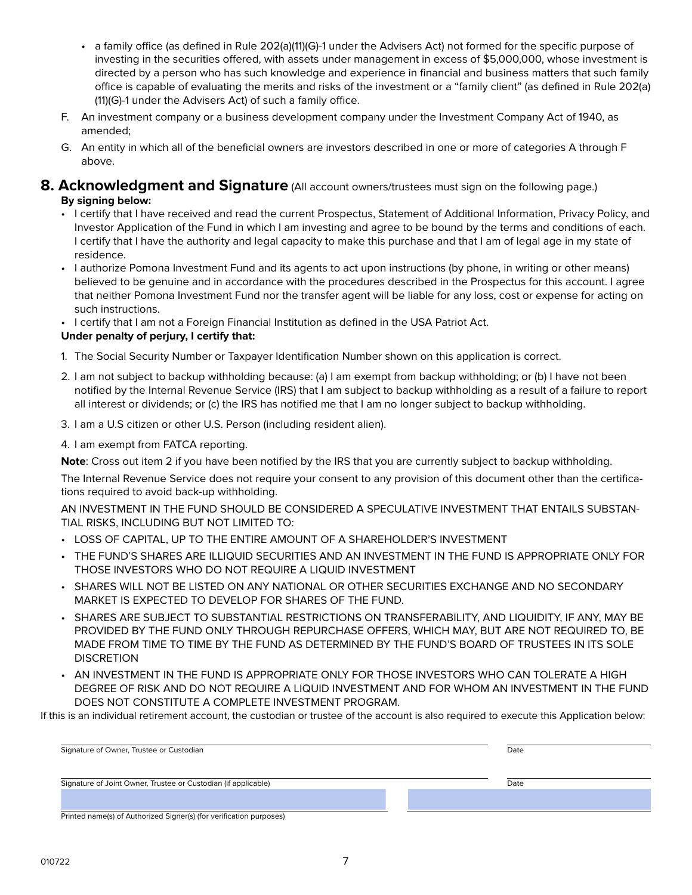- a family office (as defined in Rule 202(a)(11)(G)-1 under the Advisers Act) not formed for the specific purpose of investing in the securities offered, with assets under management in excess of \$5,000,000, whose investment is directed by a person who has such knowledge and experience in financial and business matters that such family office is capable of evaluating the merits and risks of the investment or a "family client" (as defined in Rule 202(a) (11)(G)-1 under the Advisers Act) of such a family office.
- F. An investment company or a business development company under the Investment Company Act of 1940, as amended;
- G. An entity in which all of the beneficial owners are investors described in one or more of categories A through F above.

### **8. Acknowledgment and Signature** (All account owners/trustees must sign on the following page.) **By signing below:**

- I certify that I have received and read the current Prospectus, Statement of Additional Information, Privacy Policy, and Investor Application of the Fund in which I am investing and agree to be bound by the terms and conditions of each. I certify that I have the authority and legal capacity to make this purchase and that I am of legal age in my state of residence.
- I authorize Pomona Investment Fund and its agents to act upon instructions (by phone, in writing or other means) believed to be genuine and in accordance with the procedures described in the Prospectus for this account. I agree that neither Pomona Investment Fund nor the transfer agent will be liable for any loss, cost or expense for acting on such instructions.
- I certify that I am not a Foreign Financial Institution as defined in the USA Patriot Act.

#### **Under penalty of perjury, I certify that:**

- 1. The Social Security Number or Taxpayer Identification Number shown on this application is correct.
- 2. I am not subject to backup withholding because: (a) I am exempt from backup withholding; or (b) I have not been notified by the Internal Revenue Service (IRS) that I am subject to backup withholding as a result of a failure to report all interest or dividends; or (c) the IRS has notified me that I am no longer subject to backup withholding.
- 3. I am a U.S citizen or other U.S. Person (including resident alien).
- 4. I am exempt from FATCA reporting.

**Note**: Cross out item 2 if you have been notified by the IRS that you are currently subject to backup withholding.

The Internal Revenue Service does not require your consent to any provision of this document other than the certifications required to avoid back-up withholding.

AN INVESTMENT IN THE FUND SHOULD BE CONSIDERED A SPECULATIVE INVESTMENT THAT ENTAILS SUBSTAN-TIAL RISKS, INCLUDING BUT NOT LIMITED TO:

- LOSS OF CAPITAL, UP TO THE ENTIRE AMOUNT OF A SHAREHOLDER'S INVESTMENT
- THE FUND'S SHARES ARE ILLIQUID SECURITIES AND AN INVESTMENT IN THE FUND IS APPROPRIATE ONLY FOR THOSE INVESTORS WHO DO NOT REQUIRE A LIQUID INVESTMENT
- SHARES WILL NOT BE LISTED ON ANY NATIONAL OR OTHER SECURITIES EXCHANGE AND NO SECONDARY MARKET IS EXPECTED TO DEVELOP FOR SHARES OF THE FUND.
- SHARES ARE SUBJECT TO SUBSTANTIAL RESTRICTIONS ON TRANSFERABILITY, AND LIQUIDITY, IF ANY, MAY BE PROVIDED BY THE FUND ONLY THROUGH REPURCHASE OFFERS, WHICH MAY, BUT ARE NOT REQUIRED TO, BE MADE FROM TIME TO TIME BY THE FUND AS DETERMINED BY THE FUND'S BOARD OF TRUSTEES IN ITS SOLE DISCRETION
- AN INVESTMENT IN THE FUND IS APPROPRIATE ONLY FOR THOSE INVESTORS WHO CAN TOLERATE A HIGH DEGREE OF RISK AND DO NOT REQUIRE A LIQUID INVESTMENT AND FOR WHOM AN INVESTMENT IN THE FUND DOES NOT CONSTITUTE A COMPLETE INVESTMENT PROGRAM.

If this is an individual retirement account, the custodian or trustee of the account is also required to execute this Application below:

| Signature of Owner, Trustee or Custodian                       | Date |  |
|----------------------------------------------------------------|------|--|
| Signature of Joint Owner, Trustee or Custodian (if applicable) | Date |  |
|                                                                |      |  |